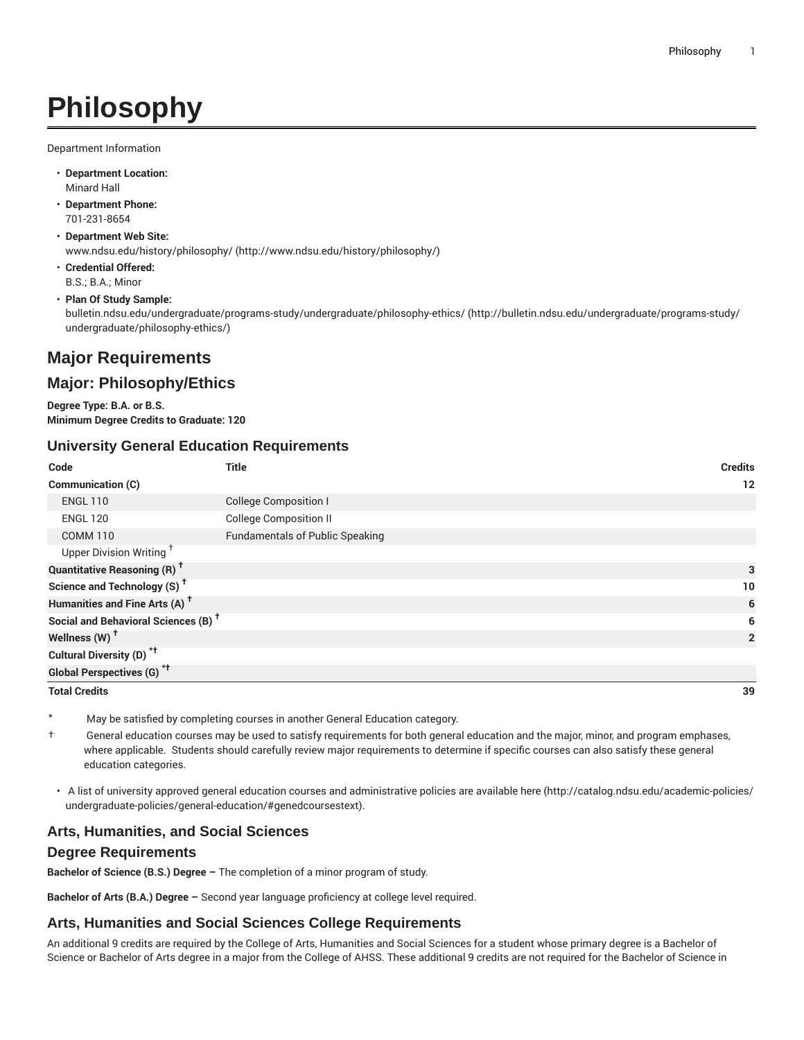# **Philosophy**

Department Information

- **Department Location:** Minard Hall
- **Department Phone:** 701-231-8654
- **Department Web Site:** [www.ndsu.edu/history/philosophy/](http://www.ndsu.edu/history/philosophy/) ([http://www.ndsu.edu/history/philosophy/\)](http://www.ndsu.edu/history/philosophy/)
- **Credential Offered:** B.S.; B.A.; Minor
- **Plan Of Study Sample:**

[bulletin.ndsu.edu/undergraduate/programs-study/undergraduate/philosophy-ethics/](http://bulletin.ndsu.edu/undergraduate/programs-study/undergraduate/philosophy-ethics/) ([http://bulletin.ndsu.edu/undergraduate/programs-study/](http://bulletin.ndsu.edu/undergraduate/programs-study/undergraduate/philosophy-ethics/) [undergraduate/philosophy-ethics/\)](http://bulletin.ndsu.edu/undergraduate/programs-study/undergraduate/philosophy-ethics/)

# **Major Requirements**

## **Major: Philosophy/Ethics**

**Degree Type: B.A. or B.S. Minimum Degree Credits to Graduate: 120**

#### **University General Education Requirements**

| Code                                            | <b>Title</b>                           | <b>Credits</b> |
|-------------------------------------------------|----------------------------------------|----------------|
| Communication (C)                               |                                        | 12             |
| <b>ENGL 110</b>                                 | <b>College Composition I</b>           |                |
| <b>ENGL 120</b>                                 | <b>College Composition II</b>          |                |
| <b>COMM 110</b>                                 | <b>Fundamentals of Public Speaking</b> |                |
| Upper Division Writing <sup>+</sup>             |                                        |                |
| <b>Quantitative Reasoning (R)<sup>†</sup></b>   |                                        | 3              |
| Science and Technology (S) <sup>+</sup>         |                                        | 10             |
| Humanities and Fine Arts (A) <sup>+</sup>       |                                        | 6              |
| Social and Behavioral Sciences (B) <sup>+</sup> |                                        | 6              |
| Wellness (W) <sup>t</sup>                       |                                        | $\overline{2}$ |
| Cultural Diversity (D) <sup>*†</sup>            |                                        |                |
| <b>Global Perspectives (G)<sup>*†</sup></b>     |                                        |                |

**Total Credits 39**

May be satisfied by completing courses in another General Education category.

† General education courses may be used to satisfy requirements for both general education and the major, minor, and program emphases, where applicable. Students should carefully review major requirements to determine if specific courses can also satisfy these general education categories.

• A list of university approved general education courses and administrative policies are available [here](http://catalog.ndsu.edu/academic-policies/undergraduate-policies/general-education/#genedcoursestext) ([http://catalog.ndsu.edu/academic-policies/](http://catalog.ndsu.edu/academic-policies/undergraduate-policies/general-education/#genedcoursestext) [undergraduate-policies/general-education/#genedcoursestext](http://catalog.ndsu.edu/academic-policies/undergraduate-policies/general-education/#genedcoursestext)).

#### **Arts, Humanities, and Social Sciences**

#### **Degree Requirements**

**Bachelor of Science (B.S.) Degree –** The completion of a minor program of study.

**Bachelor of Arts (B.A.) Degree –** Second year language proficiency at college level required.

#### **Arts, Humanities and Social Sciences College Requirements**

An additional 9 credits are required by the College of Arts, Humanities and Social Sciences for a student whose primary degree is a Bachelor of Science or Bachelor of Arts degree in a major from the College of AHSS. These additional 9 credits are not required for the Bachelor of Science in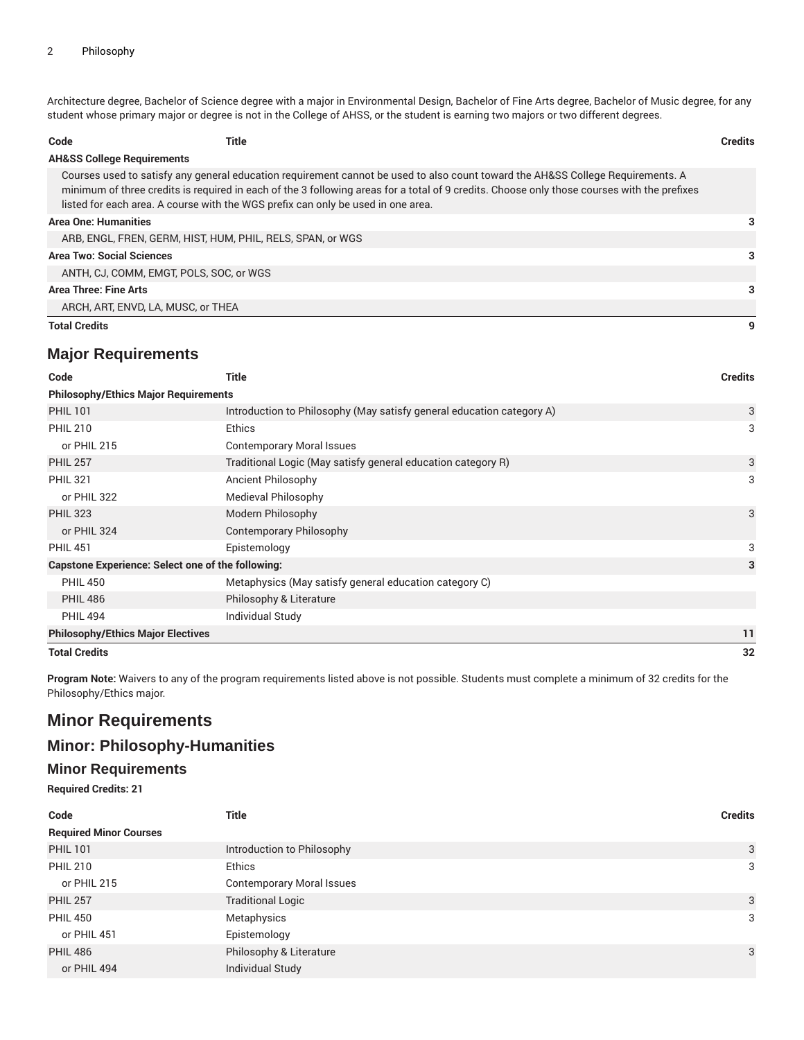Architecture degree, Bachelor of Science degree with a major in Environmental Design, Bachelor of Fine Arts degree, Bachelor of Music degree, for any student whose primary major or degree is not in the College of AHSS, or the student is earning two majors or two different degrees.

| Code                                                       | Title                                                                                                                                                                                                                                                                                                                                                              | <b>Credits</b> |
|------------------------------------------------------------|--------------------------------------------------------------------------------------------------------------------------------------------------------------------------------------------------------------------------------------------------------------------------------------------------------------------------------------------------------------------|----------------|
| <b>AH&amp;SS College Requirements</b>                      |                                                                                                                                                                                                                                                                                                                                                                    |                |
|                                                            | Courses used to satisfy any general education requirement cannot be used to also count toward the AH&SS College Requirements. A<br>minimum of three credits is required in each of the 3 following areas for a total of 9 credits. Choose only those courses with the prefixes<br>listed for each area. A course with the WGS prefix can only be used in one area. |                |
| Area One: Humanities                                       |                                                                                                                                                                                                                                                                                                                                                                    | 3              |
| ARB, ENGL, FREN, GERM, HIST, HUM, PHIL, RELS, SPAN, or WGS |                                                                                                                                                                                                                                                                                                                                                                    |                |
| <b>Area Two: Social Sciences</b>                           |                                                                                                                                                                                                                                                                                                                                                                    |                |
| ANTH, CJ, COMM, EMGT, POLS, SOC, or WGS                    |                                                                                                                                                                                                                                                                                                                                                                    |                |
| <b>Area Three: Fine Arts</b>                               |                                                                                                                                                                                                                                                                                                                                                                    | 3              |
| ARCH, ART, ENVD, LA, MUSC, or THEA                         |                                                                                                                                                                                                                                                                                                                                                                    |                |
| <b>Total Credits</b>                                       |                                                                                                                                                                                                                                                                                                                                                                    | 9              |

## **Major Requirements**

| Code                                                     | <b>Title</b>                                                          | <b>Credits</b> |  |
|----------------------------------------------------------|-----------------------------------------------------------------------|----------------|--|
| <b>Philosophy/Ethics Major Requirements</b>              |                                                                       |                |  |
| <b>PHIL 101</b>                                          | Introduction to Philosophy (May satisfy general education category A) | 3              |  |
| <b>PHIL 210</b>                                          | <b>Ethics</b>                                                         | 3              |  |
| or PHIL 215                                              | <b>Contemporary Moral Issues</b>                                      |                |  |
| <b>PHIL 257</b>                                          | Traditional Logic (May satisfy general education category R)          | 3              |  |
| <b>PHIL 321</b>                                          | <b>Ancient Philosophy</b>                                             | 3              |  |
| or PHIL 322                                              | Medieval Philosophy                                                   |                |  |
| <b>PHIL 323</b>                                          | Modern Philosophy                                                     | 3              |  |
| or PHIL 324                                              | Contemporary Philosophy                                               |                |  |
| <b>PHIL 451</b>                                          | Epistemology                                                          | 3              |  |
| <b>Capstone Experience: Select one of the following:</b> |                                                                       | 3              |  |
| <b>PHIL 450</b>                                          | Metaphysics (May satisfy general education category C)                |                |  |
| <b>PHIL 486</b>                                          | Philosophy & Literature                                               |                |  |
| <b>PHIL 494</b>                                          | Individual Study                                                      |                |  |
| <b>Philosophy/Ethics Major Electives</b>                 |                                                                       | 11             |  |
| <b>Total Credits</b>                                     |                                                                       | 32             |  |

**Program Note:** Waivers to any of the program requirements listed above is not possible. Students must complete a minimum of 32 credits for the Philosophy/Ethics major.

# **Minor Requirements**

## **Minor: Philosophy-Humanities**

#### **Minor Requirements**

**Required Credits: 21**

| Code                          | <b>Title</b>                     | <b>Credits</b> |
|-------------------------------|----------------------------------|----------------|
| <b>Required Minor Courses</b> |                                  |                |
| <b>PHIL 101</b>               | Introduction to Philosophy       | 3              |
| <b>PHIL 210</b>               | <b>Ethics</b>                    | 3              |
| or PHIL 215                   | <b>Contemporary Moral Issues</b> |                |
| <b>PHIL 257</b>               | <b>Traditional Logic</b>         | 3              |
| <b>PHIL 450</b>               | Metaphysics                      | 3              |
| or PHIL 451                   | Epistemology                     |                |
| <b>PHIL 486</b>               | Philosophy & Literature          | 3              |
| or PHIL 494                   | Individual Study                 |                |